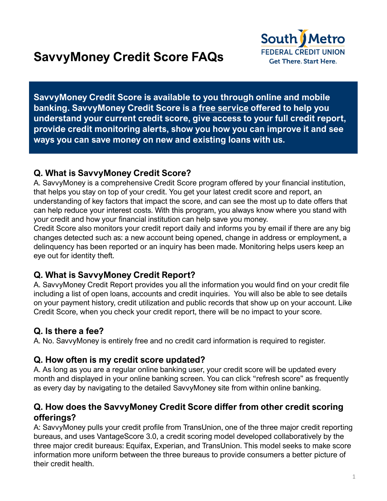

**SavvyMoney Credit Score is available to you through online and mobile banking. SavvyMoney Credit Score is a free service offered to help you understand your current credit score, give access to your full credit report, provide credit monitoring alerts, show you how you can improve it and see ways you can save money on new and existing loans with us.**

## **Q. What is SavvyMoney Credit Score?**

A. SavvyMoney is a comprehensive Credit Score program offered by your financial institution, that helps you stay on top of your credit. You get your latest credit score and report, an understanding of key factors that impact the score, and can see the most up to date offers that can help reduce your interest costs. With this program, you always know where you stand with your credit and how your financial institution can help save you money.

Credit Score also monitors your credit report daily and informs you by email if there are any big changes detected such as: a new account being opened, change in address or employment, a delinquency has been reported or an inquiry has been made. Monitoring helps users keep an eye out for identity theft.

## **Q. What is SavvyMoney Credit Report?**

A. SavvyMoney Credit Report provides you all the information you would find on your credit file including a list of open loans, accounts and credit inquiries. You will also be able to see details on your payment history, credit utilization and public records that show up on your account. Like Credit Score, when you check your credit report, there will be no impact to your score.

# **Q. Is there a fee?**

A. No. SavvyMoney is entirely free and no credit card information is required to register.

### **Q. How often is my credit score updated?**

A. As long as you are a regular online banking user, your credit score will be updated every month and displayed in your online banking screen. You can click "refresh score" as frequently as every day by navigating to the detailed SavvyMoney site from within online banking.

### **Q. How does the SavvyMoney Credit Score differ from other credit scoring offerings?**

A: SavvyMoney pulls your credit profile from TransUnion, one of the three major credit reporting bureaus, and uses VantageScore 3.0, a credit scoring model developed collaboratively by the three major credit bureaus: Equifax, Experian, and TransUnion. This model seeks to make score information more uniform between the three bureaus to provide consumers a better picture of their credit health.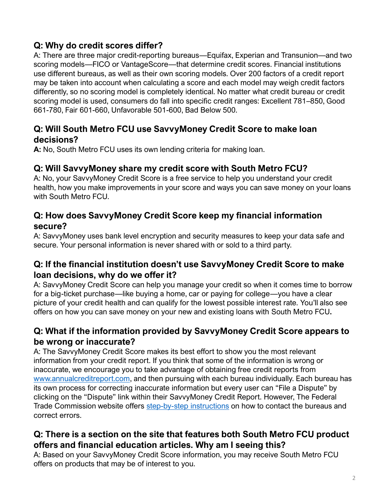## **Q: Why do credit scores differ?**

A: There are three major credit-reporting bureaus—Equifax, Experian and Transunion—and two scoring models—FICO or VantageScore—that determine credit scores. Financial institutions use different bureaus, as well as their own scoring models. Over 200 factors of a credit report may be taken into account when calculating a score and each model may weigh credit factors differently, so no scoring model is completely identical. No matter what credit bureau or credit scoring model is used, consumers do fall into specific credit ranges: Excellent 781–850, Good 661-780, Fair 601-660, Unfavorable 501-600, Bad Below 500.

#### **Q: Will South Metro FCU use SavvyMoney Credit Score to make loan decisions?**

**A:** No, South Metro FCU uses its own lending criteria for making loan.

#### **Q: Will SavvyMoney share my credit score with South Metro FCU?**

A: No, your SavvyMoney Credit Score is a free service to help you understand your credit health, how you make improvements in your score and ways you can save money on your loans with South Metro FCU.

#### **Q: How does SavvyMoney Credit Score keep my financial information secure?**

A: SavvyMoney uses bank level encryption and security measures to keep your data safe and secure. Your personal information is never shared with or sold to a third party.

#### **Q: If the financial institution doesn't use SavvyMoney Credit Score to make loan decisions, why do we offer it?**

A: SavvyMoney Credit Score can help you manage your credit so when it comes time to borrow for a big-ticket purchase—like buying a home, car or paying for college—you have a clear picture of your credit health and can qualify for the lowest possible interest rate. You'll also see offers on how you can save money on your new and existing loans with South Metro FCU**.**

## **Q: What if the information provided by SavvyMoney Credit Score appears to be wrong or inaccurate?**

A: The SavvyMoney Credit Score makes its best effort to show you the most relevant information from your credit report. If you think that some of the information is wrong or inaccurate, we encourage you to take advantage of obtaining free credit reports from [www.annualcreditreport.com,](http://www.annualcreditreport.com/) and then pursuing with each bureau individually. Each bureau has its own process for correcting inaccurate information but every user can "File a Dispute" by clicking on the "Dispute" link within their SavvyMoney Credit Report. However, The Federal Trade Commission website offers [step-by-step instructions](https://www.consumer.ftc.gov/articles/0151-disputing-errors-credit-reports) on how to contact the bureaus and correct errors.

#### **Q: There is a section on the site that features both South Metro FCU product offers and financial education articles. Why am I seeing this?**

A: Based on your SavvyMoney Credit Score information, you may receive South Metro FCU offers on products that may be of interest to you.